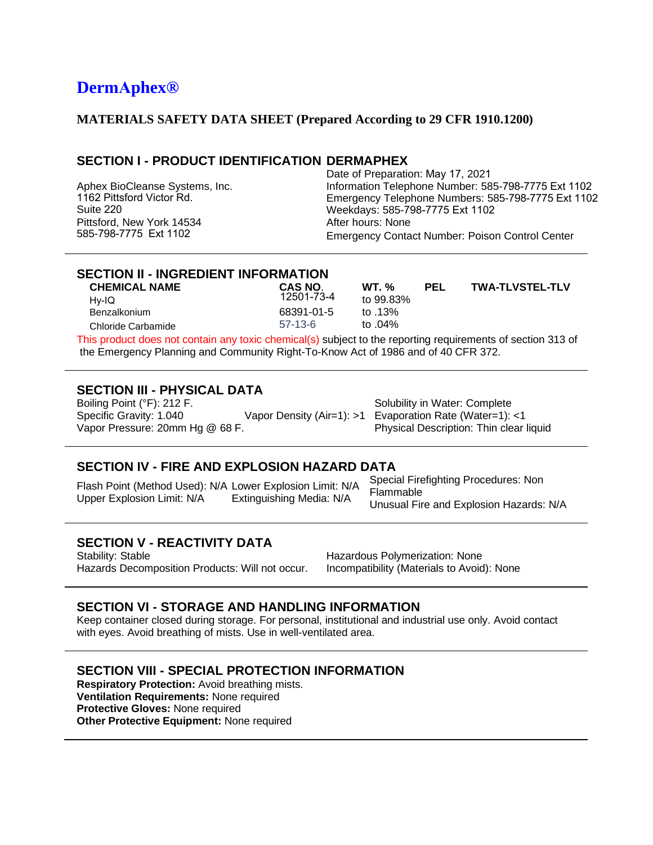# **DermAphex®**

#### **MATERIALS SAFETY DATA SHEET (Prepared According to 29 CFR 1910.1200)**

## **SECTION I - PRODUCT IDENTIFICATION DERMAPHEX**

Aphex BioCleanse Systems, Inc. 1162 Pittsford Victor Rd. Suite 220 Pittsford, New York 14534 585-798-7775 Ext 1102

Date of Preparation: May 17, 2021 Information Telephone Number: 585-798-7775 Ext 1102 Emergency Telephone Numbers: 585-798-7775 Ext 1102 Weekdays: 585-798-7775 Ext 1102 After hours: None Emergency Contact Number: Poison Control Center

## **SECTION II - INGREDIENT INFORMATION**

| <b>CHEMICAL NAME</b>                                                                                        | CAS NO.    | $WT_{\alpha}$ % | <b>PEL</b> | <b>TWA-TLVSTEL-TLV</b> |
|-------------------------------------------------------------------------------------------------------------|------------|-----------------|------------|------------------------|
| Hv-IQ                                                                                                       | 12501-73-4 | to 99.83%       |            |                        |
| <b>Benzalkonium</b>                                                                                         | 68391-01-5 | to .13%         |            |                        |
| Chloride Carbamide                                                                                          | $57-13-6$  | to $.04\%$      |            |                        |
| This product does not contain any toxic chemical(s) subject to the reporting requirements of section 313 of |            |                 |            |                        |

ny toxic chemical(s) subject to the reporting requirements of section 313 of the Emergency Planning and Community Right-To-Know Act of 1986 and of 40 CFR 372.

#### **SECTION III - PHYSICAL DATA**

Boiling Point (°F): 212 F. Specific Gravity: 1.040 Vapor Pressure: 20mm Hg @ 68 F. Vapor Density (Air=1): >1

Solubility in Water: Complete Evaporation Rate (Water=1): <1 Physical Description: Thin clear liquid

#### **SECTION IV - FIRE AND EXPLOSION HAZARD DATA**

Flash Point (Method Used): N/A Lower Explosion Limit: N/A Upper Explosion Limit: N/A Extinguishing Media: N/A

Special Firefighting Procedures: Non Flammable Unusual Fire and Explosion Hazards: N/A

## **SECTION V - REACTIVITY DATA**

Stability: Stable Hazards Decomposition Products: Will not occur. Hazardous Polymerization: None Incompatibility (Materials to Avoid): None

#### **SECTION VI - STORAGE AND HANDLING INFORMATION**

Keep container closed during storage. For personal, institutional and industrial use only. Avoid contact with eyes. Avoid breathing of mists. Use in well-ventilated area.

## **SECTION VIII - SPECIAL PROTECTION INFORMATION**

**Respiratory Protection:** Avoid breathing mists. **Ventilation Requirements:** None required **Protective Gloves:** None required **Other Protective Equipment:** None required